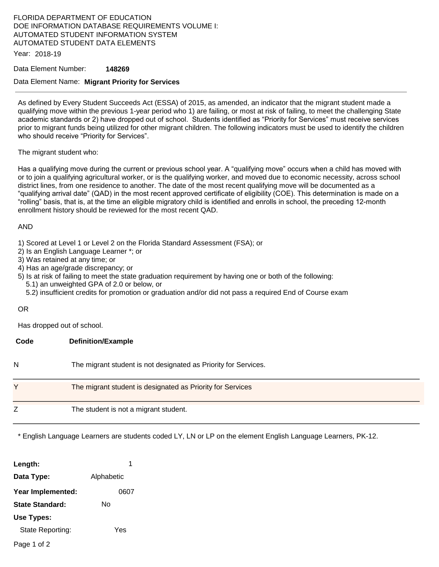# FLORIDA DEPARTMENT OF EDUCATION DOE INFORMATION DATABASE REQUIREMENTS VOLUME I: AUTOMATED STUDENT INFORMATION SYSTEM AUTOMATED STUDENT DATA ELEMENTS

Year: 2018-19

### Data Element Number: **148269**

### Data Element Name: **Migrant Priority for Services**

As defined by Every Student Succeeds Act (ESSA) of 2015, as amended, an indicator that the migrant student made a qualifying move within the previous 1-year period who 1) are failing, or most at risk of failing, to meet the challenging State academic standards or 2) have dropped out of school. Students identified as "Priority for Services" must receive services prior to migrant funds being utilized for other migrant children. The following indicators must be used to identify the children who should receive "Priority for Services".

#### The migrant student who:

Has a qualifying move during the current or previous school year. A "qualifying move" occurs when a child has moved with or to join a qualifying agricultural worker, or is the qualifying worker, and moved due to economic necessity, across school district lines, from one residence to another. The date of the most recent qualifying move will be documented as a "qualifying arrival date" (QAD) in the most recent approved certificate of eligibility (COE). This determination is made on a "rolling" basis, that is, at the time an eligible migratory child is identified and enrolls in school, the preceding 12-month enrollment history should be reviewed for the most recent QAD.

#### AND

1) Scored at Level 1 or Level 2 on the Florida Standard Assessment (FSA); or

2) Is an English Language Learner \*; or

3) Was retained at any time; or

4) Has an age/grade discrepancy; or

5) Is at risk of failing to meet the state graduation requirement by having one or both of the following:

5.1) an unweighted GPA of 2.0 or below, or

5.2) insufficient credits for promotion or graduation and/or did not pass a required End of Course exam

### OR

Has dropped out of school.

| Code | <b>Definition/Example</b>                                       |
|------|-----------------------------------------------------------------|
| N    | The migrant student is not designated as Priority for Services. |
| v    | The migrant student is designated as Priority for Services      |
|      | The student is not a migrant student.                           |

\* English Language Learners are students coded LY, LN or LP on the element English Language Learners, PK-12.

| Length:           | 1          |  |  |
|-------------------|------------|--|--|
| Data Type:        | Alphabetic |  |  |
| Year Implemented: | 0607       |  |  |
| State Standard:   | N٥         |  |  |
| Use Types:        |            |  |  |
| State Reporting:  | Yes        |  |  |
|                   |            |  |  |